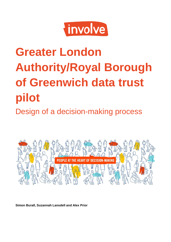

# **Greater London Authority/Royal Borough of Greenwich data trust pilot** Design of a decision-making process



**Simon Burall, Suzannah Lansdell and Alex Prior**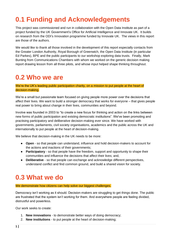# <span id="page-1-0"></span>**0.1 Funding and Acknowledgements**

This project was commissioned and run in collaboration with the Open Data Institute as part of a project funded by the UK Government's Office for Artificial Intelligence and Innovate UK. It builds on research from the ODI's Innovation programme funded by Innovate UK. The views in this report are those of the authors.

We would like to thank all those involved in the development of this report especially contacts from the Greater London Authority, Royal Borough of Greenwich, the Open Data Institute (in particular Ed Parkes), BPE and the public participants to our workshop exploring data trusts. Finally, Mark Bunting from Communications Chambers with whom we worked on the generic decision making report drawing lesson from all three pilots, and whose input helped shape thinking throughout.

# <span id="page-1-1"></span>**0.2 Who we are**

We're the UK's leading public participation charity, on a mission to put people at the heart of decision-making.

We're a small but passionate team focused on giving people more power over the decisions that affect their lives. We want to build a stronger democracy that works for everyone – that gives people real power to bring about change in their lives, communities and beyond.

Involve was founded in 2003 to "to create a new focus for thinking and action on the links between new forms of public participation and existing democratic institutions". We've been promoting and practising participatory and deliberative decision-making ever since. We have worked with governments, parliaments, civil society organisations, academics and the public across the UK and internationally to put people at the heart of decision-making.

We believe that decision-making in the UK needs to be more:

- **Open** so that people can understand, influence and hold decision-makers to account for the actions and inactions of their governments;
- **Participatory** so that people have the freedom, support and opportunity to shape their communities and influence the decisions that affect their lives; and,
- **Deliberative** so that people can exchange and acknowledge different perspectives, understand conflict and find common ground, and build a shared vision for society.

# <span id="page-1-2"></span>**0.3 What we do**

#### We demonstrate how citizens can help solve our biggest challenges.

Democracy isn't working as it should. Decision-makers are struggling to get things done. The public are frustrated that the system isn't working for them. And everywhere people are feeling divided, distrustful and powerless.

Our work seeks to create:

- 1. **New innovations** to demonstrate better ways of doing democracy;
- 2. **New institutions** to put people at the heart of decision-making;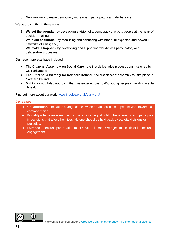3. **New norms** - to make democracy more open, participatory and deliberative.

We approach this in three ways:

- 1. **We set the agenda** by developing a vision of a democracy that puts people at the heart of decision-making;
- 2. **We build coalitions** by mobilising and partnering with broad, unexpected and powerful networks of allies; and,
- 3. **We make it happen** by developing and supporting world-class participatory and deliberative processes.

Our recent projects have included:

- **The Citizens' Assembly on Social Care** the first deliberative process commissioned by UK Parliament;
- **The Citizens' Assembly for Northern Ireland** the first citizens' assembly to take place in Northern Ireland;
- **MH:2K** a youth-led approach that has engaged over 3,400 young people in tackling mental ill-health.

Find out more about our work: [www.involve.org.uk/our-work/](http://www.involve.org.uk/our-work/)

#### *Our Values*

- **Collaboration** because change comes when broad coalitions of people work towards a common vision.
- **Equality** because everyone in society has an equal right to be listened to and participate in decisions that affect their lives. No one should be held back by societal divisions or prejudice.
- **Purpose** because participation must have an impact. We reject tokenistic or ineffectual engagement.

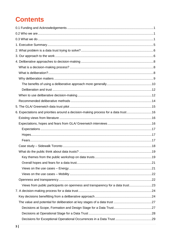# **Contents**

| 6. Expectations and priorities around a decision-making process for a data trust16 |  |
|------------------------------------------------------------------------------------|--|
|                                                                                    |  |
|                                                                                    |  |
|                                                                                    |  |
|                                                                                    |  |
|                                                                                    |  |
|                                                                                    |  |
|                                                                                    |  |
|                                                                                    |  |
|                                                                                    |  |
|                                                                                    |  |
|                                                                                    |  |
|                                                                                    |  |
| Views from public participants on openness and transparency for a data trust23     |  |
|                                                                                    |  |
|                                                                                    |  |
|                                                                                    |  |
|                                                                                    |  |
|                                                                                    |  |
|                                                                                    |  |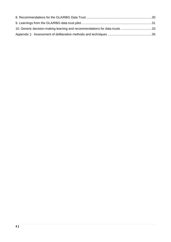| 10. Generic decision-making learning and recommendations for data trusts 33 |  |
|-----------------------------------------------------------------------------|--|
|                                                                             |  |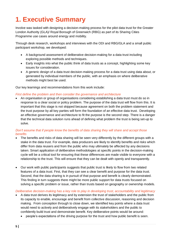# <span id="page-5-0"></span>**1. Executive Summary**

Involve was tasked with designing a decision-making process for the pilot data trust for the Greater London Authority (GLA)/ Royal Borough of Greenwich (RBG) as part of its Sharing Cities Programme use cases around energy and mobility.

Through desk research, workshops and interviews with the ODI and RBG/GLA and a small public participant workshop, we developed:

- A background assessment of deliberative decision-making for a data trust including exploring possible methods and techniques.
- Early insights into what the public think of data trusts as a concept, highlighting some key issues for consideration.
- A generic design of a data trust decision-making process for a data trust using data about, or generated by individual members of the public, with an emphasis on where deliberative methods might best be used.

Our key learnings and recommendations from this work include:

#### *First define the problem and then consider the governance and architecture*

• An organisation or group of organisations considering establishing a data trust must do so in response to a clear social or policy problem. The purpose of the data trust will flow from this. It is important that this stage is not skipped because agreement on both the problem statement and the trust purpose by all key parties will form the foundation of an effective data trust. Developing an effective governance and architecture to fit the purpose is the second step. There is a danger that the technical data solution runs ahead of defining what problem the trust is being set-up to solve.

#### *Don't assume that if people know the benefits of data sharing they will share and accept those benefits*

- The benefits and risks of data sharing will be seen very differently by the different groups with a stake in the data trust. For example, data producers are likely to identify benefits and risks which differ from data reusers and from the public who may ultimately be affected by any decisions taken. Smart application of deliberative methodologies at specific points in the decision-making cycle will be a critical tool for ensuring that these differences are made visible to everyone with a relationship to the trust. This will ensure that they can be dealt with openly and transparently.
- Our work with public participants suggests that public trust is likely to flow from two related features of a data trust. First, that they can see a clear benefit and purpose for the data trust. Second, that the data sharing is in pursuit of that purpose and benefit is clearly demonstrated. This finding in turn suggests there might be more public support for data trusts focused on solving a specific problem or issue, rather than trusts based on geography or ownership models.

### *Deliberative decision-making has a key role to play in developing trust, accountability and legitimacy*

- A data trust derives its legitimacy and by extension the trust of stakeholders and the public from its capacity to enable, encourage and benefit from collective discussion, reasoning and decision making. From conception through to close down, we identified key points where a data trust would need to actively and deliberatively engage with its stakeholders and the public to confidently build trust and demonstrate benefit. Key deliberative points would be around:
	- people's expectations of the driving purpose for the trust and how public benefit is seen.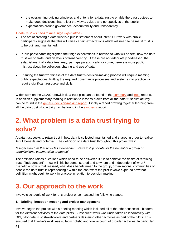- the overarching guiding principles and criteria for a data trust to enable the data trustees to make good decisions that reflect the views, values and perspectives of the public.
- expectations around governance, accountability and transparency.

### *A data trust will need to meet high expectations*

- The act of creating a data trust is a public statement about intent. Our work with public participants suggests that this will raise certain expectations which will need to be met if trust is to be built and maintained.
- Public participants highlighted their high expectations in relation to who will benefit, how the data trust will operate, and on levels of transparency. If these are not adequately addressed, the establishment of a data trust may, perhaps paradoxically for some, generate more public mistrust about the collection, sharing and use of data.
- Ensuring the trustworthiness of the data trust's decision-making process will require meeting public expectations. Putting the required governance processes and systems into practice will require significant resource and skills.

Wider work on the GLA/Greenwich data trust pilot can be found in the [summary](http://theodi.org/article/data-trusts-gla/) and [legal](http://theodi.org/article/gla-data-trusts-legal-report/) reports. In addition supplementary reading in relation to lessons drawn from all the data trust pilot activity can be found in the [generic decision-making report.](http://theodi.org/article/data-trusts-decision-making-report/) Finally a report drawing together learning from all the data trust pilot activity can be found in the [synthesis r](http://theodi.org/article/odi-data-trusts-report/)eport.

# <span id="page-6-0"></span>**2. What problem is a data trust trying to solve?**

A data trust seeks to retain trust in how data is collected, maintained and shared in order to realise its full benefits and potential. The definition of a data trust throughout this project was:

#### *"a legal structure that provides independent stewardship of data for the benefit of a group of organisations, communities or people"*

The definition raises questions which need to be answered if it is to achieve the desire of retaining trust. "Independent" – how will this be demonstrated and to whom and independent of what? "Benefit" – how is that realised, what does benefit mean to the group, organisations, communities or people the data trust is representing? Within the context of the pilot Involve explored how that definition might begin to work in practice in relation to decision-making.

# <span id="page-6-1"></span>**3. Our approach to the work**

Involve's schedule of work for this project encompassed the following stages:

### **1. Briefing, inception meeting and project management**

Involve began the project with a briefing meeting which included all of the other successful bidders for the different activities of the data pilots. Subsequent work was undertaken collaboratively with ODI, pilot data trust stakeholders and partners delivering other activities as part of the pilots. This ensured that Involve's work was suitably holistic and took account of broader activities. In particular,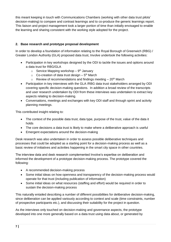this meant keeping in touch with Communications Chambers (working with other data trust pilots' decision-making) to compare and contrast learnings and to co-produce the generic learnings report. This liaison and project management took a larger portion of time than initially envisaged to enable the learning and sharing consistent with the working style adopted for the project.

# **2. Base research and prototype proposal development**

In order to develop a foundation of information relating to the Royal Borough of Greenwich (RBG) / Greater London Authority (GLA) proposed data trust, Involve undertook the following activities:

- Participation in key workshops designed by the ODI to tackle the issues and options around a data trust for RBG/GLA
	- $\circ$  Service Mapping workshop 9<sup>th</sup> January
	- $\circ$  Co-creation of data trust design  $-5<sup>th</sup>$  March
	- $\circ$  Review of recommendations and findings meeting  $-20<sup>th</sup>$  March
- Participation in key interviews with the GLA /RBG data trust stakeholders arranged by ODI covering specific decision-making questions. In addition a broad review of the transcripts and user research undertaken by ODI from these interviews was undertaken to extract key aspects relating to decision-making.
- Conversations, meetings and exchanges with key ODI staff and through sprint and activity planning meetings.

This contributed insight relating to:

- The context of the possible data trust, data type, purpose of the trust, value of the data it holds
- The core decisions a data trust is likely to make where a deliberative approach is useful
- Emergent expectations around the decision-making

Desk research was also undertaken in order to assess possible deliberative techniques and processes that could be adopted as a starting point for a decision-making process as well as a basic review of initiatives and activities happening in the smart city space in other countries.

The interview data and desk research complemented Involve's expertise on deliberation and informed the development of a prototype decision-making process. The prototype covered the following:

- A recommended decision-making process
- Some initial ideas on how openness and transparency of the decision-making process would operate for that trust (including publication of information)
- Some initial ideas on what resources (staffing and effort) would be required in order to sustain the decision-making process

This naturally entailed describing a number of different possibilities for deliberative decision-making, since deliberation can be applied variously according to context and scale (time constraints, number of prospective participants etc.), and discussing their suitability for the project in question.

As the interviews only touched on decision-making and governance aspects, the prototype developed into one more generally based on a data trust using data about, or generated by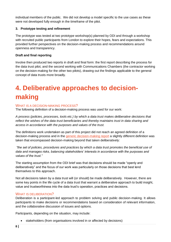individual members of the public. We did not develop a model specific to the use cases as these were not developed fully enough in the timeframe of the pilot.

# **3. Prototype testing and refinement**

The prototype was tested at two prototype workshop(s) planned by ODI and through a workshop with recruited public participants from London to explore their hopes, fears and expectations. This provided further perspectives on the decision-making process and recommendations around openness and transparency.

### **Draft and final reporting**

Involve then produced two reports in draft and final form: the first report describing the process for the data trust pilot, and the second working with Communications Chambers (the contractor working on the decision-making for the other two pilots), drawing out the findings applicable to the general concept of data trusts more broadly.

# <span id="page-8-0"></span>**4. Deliberative approaches to decisionmaking**

# <span id="page-8-1"></span>WHAT IS A DECISION-MAKING PROCESS?

The following definition of a decision-making process was used for our work:

*A process (policies, processes, tools etc.) by which a data trust makes deliberative decisions that reflect the wishes of the data trust beneficiaries and thereby maintains trust in data sharing and access in accordance with the purposes and values of the trust.*

The definitions work undertaken as part of this project did not reach an agreed definition of a decision-making process and in the [generic decision-making report](http://theodi.org/article/data-trusts-decision-making-report/) a slightly different definition was taken that encompassed decision-making beyond that taken deliberatively:

*"the set of policies, procedures and practices by which a data trust promotes the beneficial use of data and manages risks, balancing stakeholders' interests in accordance with the purposes and values of the trust."*

The starting assumption from the ODI brief was that decisions should be made "openly and deliberatively" and the focus of our work was particularly on those decisions that best lend themselves to this approach.

Not all decisions taken by a data trust will (or should) be made deliberatively. However, there are some key points in the life cycle of a data trust that warrant a deliberative approach to build insight, value and trustworthiness into the data trust's operation, practices and decisions.

### <span id="page-8-2"></span>WHAT IS DELIBERATION?

Deliberation is a participant-led approach to problem solving and public decision-making. It allows participants to make decisions or recommendations based on consideration of relevant information, and the collaborative discussion of issues and options.

Participants, depending on the situation, may include:

• stakeholders (from organisations involved in or affected by decisions)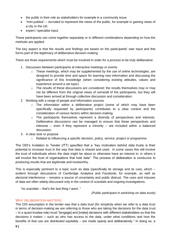- the public in their role as stakeholders for example in a community issue
- "mini publics" recruited to represent the views of the public, for example in gaining views of a city or the UK.
- expert / specialist input.

These participants can come together separately or in different combinations depending on how the methods are applied.

The key aspect is that the results and findings are based on the participants' own input and this forms part of the legitimacy of deliberative decision-making.

There are three requirements which must be involved in order for a process to be truly deliberative:

- 1. Discussion between participants at interactive meetings or events
	- $\circ$  These meetings, which may be supplemented by the use of online technologies, are designed to provide time and space for learning new information and discussing the significance of this knowledge (when considering existing attitudes, values and experience around a set topic).
	- o The results of these discussions are *considered*; the results themselves may or may not be different from the original views of some/all of the participants, but they will have been arrived at through collective discussion and consideration.
- 2. Working with a range of people and information sources
	- o The information within a deliberative project (some of which may have been specifically requested by participants) contributes to a clear context and the consideration of various factors within decision-making.
	- o The participants themselves represent a diversity of perspectives and interests. Deliberative discussions can be managed to ensure that these perspectives and interests – even if they represent a minority – are included within a balanced discussion.
- 3. A clear task or purpose
	- o Related to influencing a specific decision, policy, service, project or programme.

The ODI's Invitation to Tender (ITT) specified that a "key motivation behind data trusts is their potential to increase trust in the way that data is shared and used. In some cases this will involve the trust of individuals whom the data might be about or otherwise have an interest in; in others it will involve the trust of organisations that hold data". The process of deliberation is conducive to producing results that are legitimate and trustworthy.

This is especially pertinent to a topic such as data (specifically its storage and its use), which  $$ evident through discussions of Cambridge Analytica and Facebook, for example, as well as electoral interference – remains a source of uncertainty and public distrust. The uses and misuses of data are often widely-discussed only in the context of scandals and ongoing investigations.

*"no scandals – that's the last thing I want.."* 

*(Public participant in workshop on data trusts)*

### <span id="page-9-0"></span>WHY DELIBERATION MATTERS

The ODI assumption in the tender was that a data trust (for simplicity when we refer to a data trust in terms of decision-making we are referring to those who are taking the decisions for the data trust – in a quasi-trustee role) must "[engage] and [make] decisions with different stakeholders so that the decisions it makes – such as who has access to the data, under what conditions and how the benefits of that use are distributed equitably – are made openly and deliberatively." In doing so, a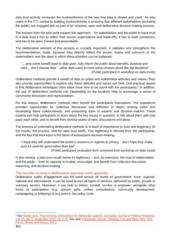data trust actively *increases* the trustworthiness of the way that data is shared and used. As also noted in the ITT, central to building trustworthiness is ensuring that different stakeholders (including the public) are engaged with as part of an inclusive, open and deliberative decision-making process.

The lessons from the pilot work support this approach – for stakeholders and the public to have trust in a data trust it has to reflect their issues, expectations and trade-offs; it has to build consensus, and has to be open, honest and accountable.

The *deliberative* element of this process is crucially important; it validates and strengthens the recommendations made, because they directly reflect the issues, hopes and concerns of the stakeholders, and the ways in which these priorities can be balanced.

*"… give some benefit back to data giver, fully inform the public about benefits, purpose and uses… don't misuse data …allow data users to have some choices about like big decisions" (Public participant in workshop on data trusts)* 

Deliberative methods provide a wealth of data on public and stakeholder attitudes and values. They also provide opportunities to explore *why* these attitudes and values are held. One practical reason is that deliberative techniques often allow more time to be spent with the participants.<sup>1</sup> In addition, the use of deliberative methods can (depending on the location) help to encourage a sense of community discussion and representation.

For this reason, deliberative methods often benefit the participants themselves. The experience provides opportunities for collective discussion and reflection in depth; sharing views and developing these collaboratively, and presenting them to experts and decision-makers. These experts can help participants to learn about the key issues in question, to talk about them with (not past) each other, and to benefit from diverse points of view, discussions and ideas.

The process of undertaking deliberative methods is in itself of importance to trust and legitimacy (in the results, the process, and the data trust itself). This legitimacy is derived from the participants, and the fact that their input is the basis of subsequent decision-making.

*"I hope they will understand the public's concerns in regards to privacy. But I hope they make sure it's used for good rather than bad" (Public participant evaluation form comment from workshop on data trusts)* 

In this context, a data trust would derive its legitimacy – and, by extension, the trust of stakeholders and the public – from its capacity to enable, encourage, and benefit from collective discussion, reasoning, and decision-making.

### <span id="page-10-0"></span>The benefits of using a deliberative approach more generally

Deliberative public engagement can be used across all levels of government: local, regional, national and international. It can be used across all types of services, delivered by public, private or voluntary sectors. Moreover, it can help to inform, consult, involve or empower, alongside other forms of participation (e.g. opinion polls, written consultations, community development, campaigning or lobbying) at any point in the policy cycle.

<sup>-</sup><sup>1</sup> See Stoker et al. "Fast thinking: Implications for democratic politics", European Journal of Political Research, Vol. [55, No. 1, September 2015, pp. 3-21.](https://onlinelibrary.wiley.com/doi/full/10.1111/1475-6765.12113) See also: Kahneman, Daniel. *[Thinking, Fast and Slow](https://www.worldcat.org/title/thinking-fast-and-slow/oclc/706020998)*. New York: [Farrar, Straus and Giroux, 2011.](https://www.worldcat.org/title/thinking-fast-and-slow/oclc/706020998)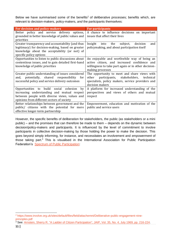Below we have summarised some of the benefits<sup>2</sup> of deliberative processes; benefits which, are relevant to decision-makers, policy-makers, *and* the participants themselves:

| For decision and policy-makers                                                                                                                                                             | For participants                                                                                                                                                          |
|--------------------------------------------------------------------------------------------------------------------------------------------------------------------------------------------|---------------------------------------------------------------------------------------------------------------------------------------------------------------------------|
| Better policy and service delivery options,<br>grounded in better knowledge of public values and<br>priorities                                                                             | A chance to influence decisions on important<br>issues that affect their lives                                                                                            |
| Greater transparency and accountability (and thus<br>legitimacy) for decision-making, based on greater<br>knowledge about the acceptability (or not) of<br>specific policy options         | Insight into the<br>subject,<br>decision<br>and<br>policymaking, and about participation itself                                                                           |
| Opportunities to listen to public discussions about<br>contentious issues, and to gain detailed first-hand<br>knowledge of public priorities                                               | An enjoyable and worthwhile way of being an<br>active citizen, and increased confidence and<br>willingness to take part again or in other decision-<br>making processes   |
| Greater public understanding of issues considered<br>potentially, shared responsibility<br>and,<br>for<br>successful policy and service delivery outcomes                                  | The opportunity to meet and share views with<br>participants, stakeholders,<br>other<br>technical<br>specialists, policy makers, service providers and<br>decision makers |
| Opportunities to build social cohesion<br>by<br>increasing understanding and mutual respect<br>between people with diverse views, values and<br>opinions from different sectors of society | A platform for increased understanding of the<br>perspectives and views of others and mutual<br>respect                                                                   |
| Better relationships between government and the<br>public/ citizens with the potential for more<br>effective longer-term partnership                                                       | Empowerment, education and motivation of the<br>public and service users                                                                                                  |

However, the specific benefits of deliberation for stakeholders, the public (as stakeholders or a mini public) – and the promises that can therefore be made to them – depends on the dynamic between decision/policy-makers and participants. It is influenced by the level of commitment to involve participants in collective decision-making by those holding the power to make the decision. This goes beyond simply informing, for instance, and necessitates an involvement and *empowerment* of those taking part.<sup>3</sup> This is visualised in the International Association for Public Participation Federation's [Spectrum of Public Participation:](https://www.involve.org.uk/resources/knowledge-base/what/public-participation)

<sup>-</sup><sup>2</sup> https://www.involve.org.uk/sites/default/files/field/attachemnt/Deliberative-public-engagement-nineprinciples.pdf

<sup>&</sup>lt;sup>3</sup> See: [Arnstein, Sherry R. "A Ladder of Citizen Participation",](https://www.tandfonline.com/doi/abs/10.1080/01944366908977225) JAIP, Vol. 35, No. 4, July 1969, pp. 216-224.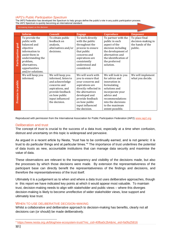#### *IAP2's Public Participation Spectrum*

The IAP2 Federation has developed the Spectrum to help groups define the public's role in any public participation process. The IAP2 Spectrum is quickly becoming an international standard.

#### Increasing impact on the decision

|                    | <b>Inform</b>     | <b>Consult</b>      | <b>Engage</b>         | Coproduce             | <b>Empower</b>     |
|--------------------|-------------------|---------------------|-----------------------|-----------------------|--------------------|
|                    | To provide the    | To obtain public    | To work directly      | To partner with the   | To place final     |
|                    | public with       | feedback on         | with the public       | public in each        | decision-making in |
|                    | balanced and      | analysis,           | throughout the        | aspect of the         | the hands of the   |
|                    | objective         | alternatives and/or | process to ensure     | decision including    | public.            |
|                    | information to    | decisions.          | that public           | the development of    |                    |
|                    | assist them in    |                     | concerns and          | alternatives and      |                    |
|                    | understanding the |                     | aspirations are       | the identification of |                    |
| Participation goal | problem,          |                     | consistently          | the preferred         |                    |
|                    | alternatives,     |                     | understood and        | solution.             |                    |
|                    | opportunities     |                     | considered.           |                       |                    |
|                    | and/or solutions. |                     |                       |                       |                    |
|                    | We will keep you  | We will keep you    | We will work with     | We will look to you   | We will implement  |
|                    | informed.         | informed, listen to | you to ensure that    | for advice and        | what you decide.   |
|                    |                   | and acknowledge     | your concerns and     | innovation in         |                    |
| to public          |                   | concerns and        |                       |                       |                    |
|                    |                   |                     | aspirations are       | formulating           |                    |
|                    |                   | aspirations, and    | directly reflected in | solutions and         |                    |
|                    |                   | provide feedback    | the alternatives      | incorporate your      |                    |
|                    |                   | on how public       | developed and         | advice and            |                    |
| Promise            |                   | input influenced    | provide feedback      | recommendations       |                    |
|                    |                   | the decision.       | on how public         | into the decisions    |                    |
|                    |                   |                     | input influenced      | to the maximum        |                    |
|                    |                   |                     | the decision.         | extent possible.      |                    |

Reproduced with permission from the International Association for Public Participation Federation (IAP2) [www.iap2.org](http://www.iap2.org/)

#### <span id="page-12-0"></span>Deliberation and trust

The concept of *trust* is crucial to the success of a data trust, especially at a time when confusion, distrust and uncertainty on this topic is widespread and pervasive.

As argued in a recent article by Nesta, "trust has to be continually earned, and is not generic: it is trust to do particular things and at particular times."<sup>4</sup> The importance of trust underlines the potential of data trusts as new, accountable institutions that can manage data security and maximise the value of data.

These observations are relevant to the transparency and visibility of the decisions made, but also the processes by which those decisions were made. By extension the representativeness of the participant base can directly benefit the representativeness of the findings and decisions, and therefore the representativeness of the trust itself.

Ultimately it is a judgement as to when and where a data trust uses deliberative approaches, though in this report we have indicated key points at which it would appear most valuable. To maintain trust, decision-making needs to align with stakeholder and public views – where this diverges decision-making is likely to become unreflective of wider stakeholder views, lose support and ultimately lose trust.

#### <span id="page-12-1"></span>WHEN TO USE DELIBERATIVE DECISION-MAKING

Whilst a collaborative and deliberative approach to decision-making has benefits, clearly not all decisions can (or should) be made deliberatively.

 $\overline{a}$ <sup>4</sup> [https://www.nesta.org.uk/blog/new-ecosystem-trust/?mc\\_cid=40fba0c2b4&mc\\_eid=fa0fa25816](https://www.nesta.org.uk/blog/new-ecosystem-trust/?mc_cid=40fba0c2b4&mc_eid=fa0fa25816)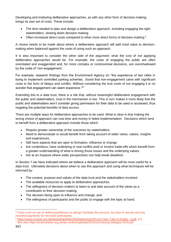Developing and instituting deliberative approaches, as with any other form of decision-making, brings its own set of costs. These include:

- The time needed to plan and design a deliberative approach, including engaging the right stakeholders, slowing down decision-making.
- Often increased direct costs compared to other more direct forms of decision-making.<sup>5</sup>

A choice needs to be made about where a deliberative approach will add most value to decisionmaking when balanced against the costs of using such an approach.

It is also important to consider the other side of the argument: what the cost of *not* applying deliberative approaches would be. For example, the costs of engaging the public are often overstated and exaggerated and, for more complex or controversial decisions, are overshadowed by the costs of 'non-engagement'.

For example, research findings from the Environment Agency on "the experience of two cities in trying to implement controlled parking schemes…found that non-engagement came with significant costs in the form of delays and conflict. Without considering the true costs of not engaging it is no wonder that engagement can seem expensive."<sup>67</sup>

Extending this to a data trust, there is a risk that, without meaningful deliberative engagement with the public and stakeholders, trust in the mechanism is low. This in turn makes it more likely that the public and stakeholders won't consider giving permission for their data to be used or accessed, thus negating the potential benefits of data access.

There are multiple ways for deliberative approaches to be used. What is clear is that making the wrong choice of approach can cost time and money in failed implementation. Decisions which tend to benefit from a deliberative approach include those which:

- Require greater ownership of the outcomes by stakeholders.
- Need to demonstrate or would benefit from taking account of wider views, values, insights and experiences.
- Still have aspects that are open to formation, influence or change.
- Are contentious, have underlying or real conflict and/ or involve trade-offs which benefit from a greater understanding of what is driving those issues and the underlying values.
- Are at an impasse where wider perspectives can help break deadlock.

In Section 7 we have indicated where we believe a deliberative approach will be most useful for a data trust. Ultimately decisions about when to use this approach and using what techniques will be informed by:

- The context, purpose and values of the data trust and the stakeholders involved.
- The available resources to apply to deliberative approaches.
- The willingness of decision-makers to listen to and take account of the views as a contribution to their decision-making,
- The decision being open to influence and change; and
- The willingness of participants and the public to engage with the topic at hand.

<sup>5</sup> Costs such as use of skilled practitioners to design/ facilitate the process, but also in venues and any incentive payments for recruited participants.

<sup>6</sup> [https://www.involve.org.uk/sites/default/files/field/attachemnt/From-Fairy-Tale-to-Reality\\_3.pdf,](https://www.involve.org.uk/sites/default/files/field/attachemnt/From-Fairy-Tale-to-Reality_3.pdf) p.5.

<sup>7</sup> See also https://sciencewise.org.uk/wp-content/uploads/2018/12/Valuing-dialogue-2015.pdf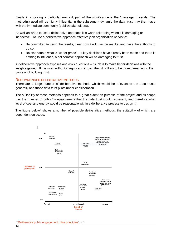Finally in choosing a particular method, part of the significance is the 'message' it sends. The method(s) used will be highly influential in the subsequent dynamic the data trust may then have with the immediate community (public/stakeholders).

As well as when to use a deliberative approach it is worth reiterating when it is damaging or ineffective. To use a deliberative approach effectively an organisation needs to:

- Be committed to using the results, clear how it will use the results, and have the authority to do so.
- Be clear about what is "up for grabs" if key decisions have already been made and there is nothing to influence, a deliberative approach will be damaging to trust.

A deliberative approach exposes and asks questions – its job is to make better decisions with the insights gained. If it is used without integrity and impact then it is likely to be more damaging to the process of building trust.

#### <span id="page-14-0"></span>RECOMMENDED DELIBERATIVE METHODS

There are a large number of deliberative methods which would be relevant to the data trusts generally and those data trust pilots under consideration.

The suitability of these methods depends to a great extent on purpose of the project and its scope (i.e. the number of public/groups/interests that the data trust would represent, and therefore what level of cost and energy would be reasonable within a deliberative process to design it).

The figure below<sup>8</sup> shows a number of possible deliberative methods, the suitability of which are dependent on scope:



 $\overline{a}$ <sup>8</sup> ['Deliberative public engagement: nine principles',](https://www.involve.org.uk/sites/default/files/field/attachemnt/Deliberative-public-engagement-nine-principles.pdf) p.4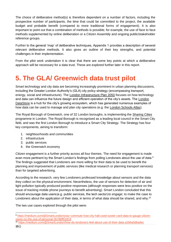The choice of deliberative method(s) is therefore dependent on a number of factors, including the prospective number of participants, the time that could be committed to the project, the available budget and probable benefit (compared to more traditional forms of engagement). It is also important to point out that a combination of methods is possible; for example, the use of face to face methods supplemented by online deliberation or a Citizen Assembly and ongoing public/stakeholder reference groups.

Further to the general 'map' of deliberative techniques, Appendix 1 provides a description of several relevant deliberative methods. It also gives an outline of their key strengths, and potential challenges in their implementation.

From the pilot work undertaken it is clear that there are some key points at which a deliberative approach will be necessary for a data trust. These are explored further later in this report.

# <span id="page-15-0"></span>**5. The GLA/ Greenwich data trust pilot**

Smart technology and city data are becoming increasingly prominent in urban planning discussions, including the Greater London Authority's (GLA) city policy strategy (encompassing transport, energy, social and infrastructure). The [London Infrastructure Plan 2050](https://www.london.gov.uk/what-we-do/business-and-economy/better-infrastructure/london-infrastructure-plan-2050) focuses on how technology and data can influence the future design and efficient operation of the city's assets. The [London](https://data.london.gov.uk/)  [DataStore](https://data.london.gov.uk/) is a hub for the city's growing ecosystem, which has generated numerous examples of how data can be used to manage and plan city operations (e.g. the [London Schools Atlas\)](https://data.london.gov.uk/dataset/london-schools-atlas).

The Royal Borough of Greenwich, one of 32 London boroughs, is implementing the [Sharing Cities](http://www.sharingcities.eu/) programme in London. The Royal Borough is recognised as a leading local council in the Smart City field, and was the first London Borough to introduce a Smart City Strategy. The Strategy has four key components, aiming to transform:

- 1. neighbourhoods and communities
- 2. infrastructure
- 3. public services
- 4. the Greenwich economy

Citizen engagement is a further priority across all four themes. The need for engagement is made even more pertinent by the Smart London's findings from polling Londoners about the use of data.<sup>9</sup> The findings suggested that Londoners are more willing for their data to be used to benefit the planning and improvement of public services (like medical research or planning transport services) than for targeted advertising.

According to the research, very few Londoners professed knowledge about sensors and the data they collect on the physical environment. Nevertheless, the use of sensors for detection of air and light pollution typically produced positive responses (although responses were less positive on the issue of tracking mobile phone journeys to benefit advertising). Smart London concluded that this should encourage data users (e.g. public services, the tech sector) *to engage*; to make the case to Londoners about the application of their data, in terms of what data should be shared, and why.<sup>10</sup>

The two use cases explored through the pilot were:

<sup>9</sup> [https://medium.com/@SmartLondon/your-commute-how-city-hall-used-oyster-card-data-to-gauge-citizen](https://medium.com/@SmartLondon/your-commute-how-city-hall-used-oyster-card-data-to-gauge-citizen-views-on-the-use-of-personal-2b786ff01819)[views-on-the-use-of-personal-2b786ff01819](https://medium.com/@SmartLondon/your-commute-how-city-hall-used-oyster-card-data-to-gauge-citizen-views-on-the-use-of-personal-2b786ff01819)

<sup>10</sup> <https://medium.com/@SmartLondon/how-do-londoners-feel-about-use-of-their-data-a2b6a0dbadec>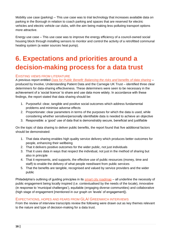Mobility use case (parking) – This use case was to trial technology that increases available data on parking in the Borough in relation to coach parking and spaces that are reserved for electric vehicles and electric vehicle car clubs, with the aim being making less-polluting transport options more attractive.

Energy use case – This use case was to improve the energy efficiency of a council-owned social housing block through installing sensors to monitor and control the activity of a retrofitted communal heating system (a water sources heat pump).

# <span id="page-16-0"></span>**6. Expectations and priorities around a decision-making process for a data trust**

# <span id="page-16-1"></span>EXISTING VIEWS FROM LITERATURE

A previous report entitled *[Data for Public Benefit: Balancing the risks and benefits of data sharing](https://www.involve.org.uk/resources/publications/project-reports/data-public-benefit)* – produced by Involve, Understanding Patient Data and the Carnegie UK Trust – identified three clear determiners for data-sharing effectiveness. These determiners were seen to be necessary in the achievement of a 'social licence' to share and use data more widely. In accordance with these findings, the report stated that data sharing should be:

- 1. Purposeful: clear, tangible and positive social outcomes which address fundamental problems and minimise adverse effects
- 2. Proportionate: clear parameters in terms of the purposes for which the data is used, while considering whether sensitive/personally identifiable data is needed to achieve an objective
- 3. Responsible: a 'good' use of data that is demonstrably secure, beneficial and justifiable

On the topic of data sharing to deliver public benefits, the report found that five additional factors should be demonstrated:

- 1. That data sharing enables high quality service delivery which produces better outcomes for people, enhancing their wellbeing
- 2. That it delivers positive outcomes for the wider public, not just individuals
- 3. That it uses data in ways that respect the individual, not just in the method of sharing but also in principle
- 4. That it represents, and supports, the effective use of public resources (money, time and staff) to enable the delivery of what people need/want from public services
- 5. That the benefits are tangible, recognised and valued by service providers and the wider public

Philadelphia's outlining of guiding principles in its [smart city roadmap](https://www.phila.gov/media/20190204121858/SmartCityPHL-Roadmap.pdf) – all underline the necessity of public engagement being locally inspired (i.e. contextualised by the needs of the locale), innovative (in response to 'municipal challenges'), equitable (engaging diverse communities) and collaborative (high stage of engagement [mentioned in our graph on 'levels' of engagement]).

### <span id="page-16-2"></span>EXPECTATIONS, HOPES AND FEARS FROM GLA/ GREENWICH INTERVIEWS

From the review of interview transcripts review the following were drawn out as key themes relevant to the nature and type of decision-making for a data trust.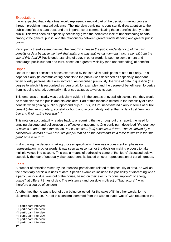# <span id="page-17-0"></span>**Expectations**

It was expected that a data trust would represent a neutral part of the decision-making process, through providing impartial guidance. The interview participants consistently drew attention to the public benefits of a data trust, and the importance of communicating these benefits clearly to the public. This was seen as especially necessary given the perceived lack of understanding of data amongst the general public, and the relationship between greater understanding and greater public buy-in.

Participants therefore emphasised the need "*to increase the public understanding of the civic benefits of data because we think that that's one way that we can demonstrate...a benefit from the use of this data*".<sup>11</sup> Public understanding of data, in other words, is seen to complement and encourage public support and trust, based on a greater visibility (and understanding) of benefits.

### <span id="page-17-1"></span>**Hopes**

One of the most consistent hopes expressed by the interview participants related to clarity. This hope for clarity (in communicating benefits to the public) was described as especially important when overtly personal data was involved. As described previously, the type of data in question (the degree to which it is recognised as 'personal', for example), and the degree of benefit seen to derive from its being shared, potentially influences attitudes towards its use.

This emphasis on clarity was particularly evident in the context of overall objectives; that they would be made clear to the public and stakeholders. Part of this rationale related to the necessity of clear benefits when gaining public support and buy-in. This, in turn, necessitated clarity in terms of public benefit (whether monetary, societal, or both) and accountability, rather than a data trust "*running free and finding...the best way*".<sup>12</sup>

This note on accountability relates back to a recurring theme throughout this report; the need for ongoing dialogue and deliberation as effective engagement. One participant described "*the granting of access to data*", for example, as "*not consensual, [but] consensus driven. That is...driven by a consensus. Instead of 'we have five people that sit on the board and it's a three to two vote that we grant access to it*'."<sup>13</sup>

In discussing the decision-making process specifically, there was a consistent emphasis on representation. In other words, it was seen as essential for the decision-making process to take multiple voices into account. This was a means of addressing some of the 'fears' discussed below; especially the fear of unequally-distributed benefits based on over-representation of certain groups.

#### <span id="page-17-2"></span>Fears

A number of anxieties raised by the interview participants related to the security of data, as well as the potentially pernicious uses of data. Specific examples included the possibility of discerning when a particular individual was out of the house, based on their electricity consumption<sup>14</sup> or energy usage<sup>15</sup> at different times of day. The existence (and possible motives) of "bad actors"<sup>16</sup> was therefore a source of concern.

Another key theme was a fear of data being collected 'for the sake of it'; in other words, for no discernible purpose. Part of this concern stemmed from the wish to avoid 'waste' with respect to the

<sup>&</sup>lt;sup>11</sup> I participant interview

<sup>12</sup> I participant interview

<sup>&</sup>lt;sup>13</sup> I participant interview

<sup>14</sup> I participant interview

<sup>&</sup>lt;sup>15</sup> I participant interview

<sup>&</sup>lt;sup>16</sup> I participant interview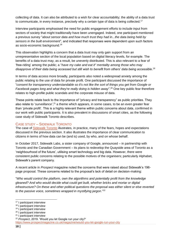collecting of data. It can also be attributed to a wish for clear accountability; the ability of a data trust to communicate, in every instance, precisely why a certain type of data is being collected.<sup>17</sup>

Interview participants emphasised the need for public engagement efforts to include input from sectors of society that might traditionally have been unengaged. Indeed, one participant mentioned a previous survey "*about sensor data and how much trust they had in...the data being held by sensors in the built environment*", and indicated that responses were dependent upon such factors as socio-economic background.<sup>18</sup>

This observation highlights a concern that a data trust may only gain support from an unrepresentative section of the local population based on digital literacy levels, for example. The benefits of a data trust may, as a result, be unevenly distributed. This is also relevant to a fear of 'free-riding' among the public; a "*have my cake and eat it" mentality among those who may disapprove of their data being accessed but still wish to benefit from others' data being accessible*. 19

In terms of data access more broadly, participants also noted a widespread anxiety among the public relating to the use of data for private profit. One participant discussed the importance of "*consent for transparency understandable so it's not like the sort of things you get from Google or Facebook pages long and what they're really doing is hidden away*".<sup>20</sup> One key public fear therefore relates to high-profile public scandals and the corporate misuse of data.

These points relate back to the importance of "privacy and transparency" as public priorities. They also relate to '*surveillance*',<sup>21</sup> a theme which appears, in some cases, to be an even greater fear than 'private profit'. This is a highly relevant theme within public concerns about data, confirmed in our work with public participants. It is also prevalent in discussions of smart cities, as the following case study of Sidewalk Toronto describes.

### <span id="page-18-0"></span>CASE STUDY – SIDEWALK TORONTO

The case of [Sidewalk Toronto](https://sidewalktoronto.ca/) illustrates, in practice, many of the fears, hopes and expectations discussed in the previous section. It also illustrates the importance of clear communication to citizens in terms of how data can be (and is) used, by who, and on whose behalf.

In October 2017, Sidewalk Labs, a sister company of Google, announced – in partnership with Toronto and the Canadian Government – its plans to redevelop the Quayside area of Toronto as a 'neighbourhood of the future', utilising smart technology and big data. However, there were consistent public concerns relating to the possible motives of the organisers; particularly Alphabet, Sidewalk's parent company.

A recent article in *Prospect* magazine noted the concerns that were raised about Sidewalk's 196 page proposal. These concerns related to the proposal's lack of detail on decision-making:

"*Who would control the platform, own the algorithms and potentially profit from the knowledge gleaned? And who would decide what could get built, whether bricks and mortar or digital infrastructure? On these and other political questions the proposal was either silent or else reverted to the passive voice, sometimes wrapped in mystifying jargon*."<sup>22</sup>

<sup>&</sup>lt;sup>17</sup> I participant interview

<sup>&</sup>lt;sup>18</sup> I participant interview

<sup>&</sup>lt;sup>19</sup> I participant interview

<sup>20</sup> I participant interview

<sup>21</sup> I participant interview

<sup>22</sup> *Prospect*, 2019. 'Would you let Google run your city?'

<https://www.prospectmagazine.co.uk/magazine/would-you-let-google-run-your-city>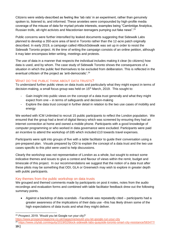Citizens were widely-described as feeling like 'lab rats' in an experiment, rather than genuinely spoken to, listened to, and informed. These anxieties were compounded by high-profile media coverage of the misuse of data for myriad private interests, examples being "Cambridge Analytica, Russian trolls, alt-right activists and Macedonian teenagers pumping out fake news".<sup>23</sup>

Public concerns were further intensified by leaked documents suggesting that Sidewalk Labs planned to develop a 350-acre area of land in Toronto rather than the 12-acre patch originally described. In early 2019, a campaign called #BlockSidewalk was set up in order to resist the Sidewalk Toronto project. At the time of writing the campaign consists of an online petition, although it may later encompass letter-writing, meetings and protests.

The use of data in a manner that respects the individual includes making it clear (to citizens) how data is used, and by whom. The case study of Sidewalk Toronto shows the consequences of a situation in which the public feel themselves to be excluded from deliberation. This is reflected in the eventual criticism of the project as 'anti-democratic'.<sup>24</sup>

# <span id="page-19-0"></span>WHAT DO THE PUBLIC THINK ABOUT DATA TRUSTS?

To understand further public views on data trusts and particularly what they might expect in terms of decision-making, a small focus group was held on 15<sup>th</sup> March, 2019. This sought to:

- Gain insight into public views on the concept of a data trust generally and what they might expect from one – in terms of safeguards and decision-making
- Explore the data trust concept in further detail in relation to the two use cases of mobility and energy

We worked with ICM Unlimited to recruit 15 public participants to reflect the London population. We ensured that the group had a level of digital literacy which was screened by ensuring they had an internet connection at home and owned a mobile phone. Participants with a good knowledge of computer programming or who worked in data governance were excluded. Participants were paid an incentive to attend the workshop of £85 which included £10 towards travel expenses.

Participants were split into groups of five with a table facilitator to guide their conversation using a pre-prepared plan. Visuals prepared by ODI to explain the concept of a data trust and the two use cases specific to this pilot were used to help discussions.

Clearly the workshop was not representative of London as a whole, but sought to extract some indicative themes and issues to give a context and flavour of views within the remit, budget and timescale of this project. In our recommendations we suggest that the notion of a data trust after these pilots may be something that ODI, GLA or Greenwich may wish to explore in greater depth with public participants.

### <span id="page-19-1"></span>Key themes from the public workshop on data trusts

We grouped and themed comments made by participants on post it notes, notes from the audio recordings and evaluation forms and combined with table facilitator feedback drew out the following summary points.

• Against a backdrop of data scandals - Facebook was repeatedly cited – participants had a greater awareness of the implications of their data use –this has likely driven some of the high expectations of data trusts and what they might deliver.

<https://www.prospectmagazine.co.uk/magazine/would-you-let-google-run-your-city>

<sup>-</sup><sup>23</sup> *Prospect*, 2019. 'Would you let Google run your city?'

 $^{24}$  <https://www.citylab.com/equity/2019/02/block-sidewalk-labs-quayside-toronto-smart-city-resistance/583477/>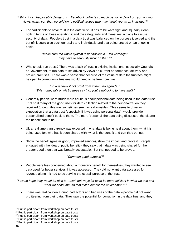- *"I think it can be possibly dangerous…Facebook collects so much personal data from you on your views, which can then be sold on to political groups who may target you as an individual"<sup>25</sup>*
	- For participants to have trust in the data trust it has to be watertight and squeaky clean, both in terms of those operating it and the safeguards and measures in place to assure security of data. People's trust in a data trust was balanced on the purpose it served and the benefit it could give back generally and individually and that being proved on an ongoing basis.

*"make sure the whole system is not hackable …it's watertight.. they have to seriously work on that.."<sup>26</sup>*

• Who should run trusts? There was a lack of trust in existing institutions, especially Councils or Government, to run data trusts driven by views on current performance, delivery and broken promises. There was a sense that because of the value of data the trustees might be open to corruption – trustees would need to be free from bias.

> *"no agenda – if not profit from it then, no agenda."<sup>27</sup> "Will money talk or will trustees say 'no, you're not going to have that?'"*

- Generally people were much more cautious about personal data being used in the data trust. That said many of the good uses for data collection related to the personalization they received (though this was sometimes seen as a downside). This seems to drive an expectation that a data trust (especially if it was using personal data), would provide personalized benefit back to them. The more 'personal' the data being discussed, the clearer the benefit had to be.
- Ultra-real time transparency was expected what data is being held about them, what it is being used for, who has it been shared with, what is the benefit and can they opt out.
- Show the benefit (greater good, improved service), show the impact and prove it. People engaged with the idea of public benefit – they saw that if data was being shared for the greater good then that was broadly acceptable. But that needed to be proved.

# *"Common good purpose"<sup>28</sup>*

• People were less concerned about a monetary benefit for themselves, they wanted to see data used for better services if it was accessed. They did not want data accessed for revenue alone – it had to be serving the overall purpose of the trust.

*"I would hope they would be able to…work out ways for us to be more efficient in what we use and what we consume, so that it can benefit the environment"<sup>29</sup>*

• There was real caution around bad actors and bad uses of the data – people did not want profiteering from their data. They saw the potential for corruption in the data trust and they

<sup>-</sup><sup>25</sup> Public participant from workshop on data trusts

<sup>&</sup>lt;sup>26</sup> Public participant from workshop on data trusts

<sup>&</sup>lt;sup>27</sup> Public participant from workshop on data trusts

<sup>&</sup>lt;sup>28</sup> Public participant from workshop on data trusts

<sup>&</sup>lt;sup>29</sup> Public participant from workshop on data trusts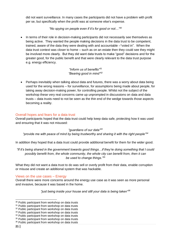did not want surveillance. In many cases the participants did not have a problem with profit per se, but specifically when the profit was at someone else's expense.

### *"No spying on people even if it's for good or not…"<sup>30</sup>*

• In terms of their role in decision-making participants did not necessarily see themselves as being active. They wanted the people making decisions in the data trust to be competent, trained, aware of the data they were dealing with and accountable –"voted in". When the data trust context was closer to home – such as on an estate then they could see they might be involved more clearly. But they did want data trusts to make "good" decisions and for the greater good, for the public benefit and that were clearly relevant to the data trust purpose e.g. energy efficiency.

> *"Inform us of benefits"<sup>31</sup> "Bearing good in mind"<sup>32</sup>*

• Perhaps inevitably when talking about data and futures, there was a worry about data being used for the wrong reasons – for surveillance, for assumptions being made about people, for taking away decision-making power, for controlling people. Whilst not the subject of the workshop these very real concerns came up unprompted in discussions on data and data trusts – data trusts need to not be seen as the thin end of the wedge towards those aspects becoming a reality.

### <span id="page-21-0"></span>Overall hopes and fears for a data trust

Overall participants hoped that the data trust could help keep data safe, protecting how it was used and ensuring that it was not misused:

#### *"guardians of our data"<sup>33</sup>*

#### *"provide me with peace of mind by being trustworthy and sharing it with the right people"<sup>34</sup>*

In addition they hoped that a data trust could provide additional benefit for them for the wider good.

*"If it's being shared in the government towards good things…if they're doing something that I could possibly benefit from, the whole community, the whole city can benefit from, then it can be used to change things."<sup>35</sup>*

What they did not want a data trust to do was sell or overly profit from their data, enable corruption or misuse and create an additional system that was hackable.

#### <span id="page-21-1"></span>Views on the use cases – Energy

Overall there were more concerns around the energy use case as it was seen as more personal and invasive, because it was based in the home.

*"just being inside your house and still your data is being taken"<sup>36</sup>*

<sup>&</sup>lt;sup>30</sup> Public participant from workshop on data trusts

<sup>&</sup>lt;sup>31</sup> Public participant from workshop on data trusts

<sup>&</sup>lt;sup>32</sup> Public participant from workshop on data trusts

<sup>&</sup>lt;sup>33</sup> Public participant from workshop on data trusts

<sup>&</sup>lt;sup>34</sup> Public participant from workshop on data trusts

<sup>&</sup>lt;sup>35</sup> Public participant from workshop on data trusts

<sup>&</sup>lt;sup>36</sup> Public participant from workshop on data trusts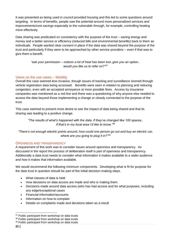It was presented as being used in council provided housing and this led to some questions around targeting. In terms of benefits, people saw the potential around more personalized services and improvements/cost savings especially to the vulnerable through, for example, controlling heating more effectively.

Data sharing was predicated on consistency with the purpose of the trust – saving energy and money and a better service or efficiency (reduced bills and environmental benefits) back to them as individuals. People wanted clear consent in place if the data was shared beyond the purpose of the trust and particularly if they were to be approached by other service providers – even if that was to give them a benefit.

> *"ask your permission – notices a lot of heat has been lost..give you an option.. would you like us to refer on?"<sup>37</sup>*

# <span id="page-22-0"></span>Views on the use cases – Mobility

Overall this case seemed less invasive, though issues of tracking and surveillance loomed through vehicle registration data being accessed. Benefits were seen in relation to planning and reducing congestion, even with an accepted annoyance at more possible fines. Access by insurance companies was mentioned as a red line and there was a questioning of why anyone else needed to access the data beyond those implementing a change or closely connected to the purpose of the trust.

This case seemed to present more desire to see the impact of data being shared and that its sharing was leading to a positive change.

*"The results of what's happened with the data..if they've changed like 100 spaces.. if that's in my local area I'd like to know."<sup>38</sup>*

*"There's not enough electric points around..how could one person go out and buy an electric car, where are you going to plug it in?"<sup>39</sup>*

# <span id="page-22-1"></span>OPENNESS AND TRANSPARENCY

A requirement of this work was to consider issues around openness and transparency. As discussed in the report the process of deliberation itself is part of openness and transparency. Additionally a data trust needs to consider what information it makes available to a wider audience and how it makes that information available.

We would recommend the following minimum components. Developing what is fit for purpose for the data trust in question should be part of the initial decision-making steps.

- What classes of data is held
- How decisions on data access are made and who is making them.
- Decisions made around data access (who has had access and for what purposes, including any edge/exceptional cases
- Financial information/accounts
- Information on how to complain
- Details on complaints made and decisions taken as a result

<sup>-</sup><sup>37</sup> Public participant from workshop on data trusts

<sup>38</sup> Public participant from workshop on data trusts

<sup>&</sup>lt;sup>39</sup> Public participant from workshop on data trusts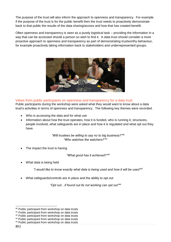The purpose of the trust will also inform the approach to openness and transparency. For example if the purpose of the trust is for the public benefit then the trust needs to proactively demonstrate back to that public the results of the data sharing/access and how that has created benefit.

Often openness and transparency is seen as a purely logistical task – providing the information in a way that can be accessed should a person so wish to find it. A data trust should consider a more proactive approach to openness and transparency as part of demonstrating trustworthy behaviour, for example proactively taking information back to stakeholders and underrepresented groups.



# <span id="page-23-0"></span>Views from public participants on openness and transparency for a data trust

Public participants during the workshop were asked what they would want to know about a data trust's activities in terms of openness and transparency. The following key themes were recorded.

- Who is accessing the data and for what use
- Information about how the trust operates, how it is funded, who is running it, structures, people involved, what safeguards are in place and how it is regulated and what opt out they have.

*"Will trustees be willing to say no to big business?"<sup>40</sup> "Who watches the watchers?"<sup>41</sup>*

The impact the trust is having

*"What good has it achieved?"<sup>42</sup>*

What data is being held

*"I would like to know exactly what data is being used and how it will be used"<sup>43</sup>*

• What safeguards/controls are in place and the ability to opt out

*"Opt out…if found out its not working can opt out"<sup>44</sup>*

<sup>40</sup> Public participant from workshop on data trusts

<sup>&</sup>lt;sup>41</sup> Public participant from workshop on data trusts

<sup>&</sup>lt;sup>42</sup> Public participant from workshop on data trusts

<sup>&</sup>lt;sup>43</sup> Public participant from workshop on data trusts

<sup>&</sup>lt;sup>44</sup> Public participant from workshop on data trusts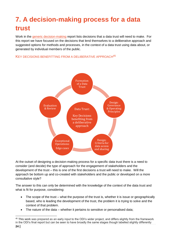# <span id="page-24-0"></span>**7. A decision-making process for a data trust**

Work in the [generic decision-making](http://theodi.org/article/data-trusts-decision-making-report/) report lists decisions that a data trust will need to make. For this report we have focused on the decisions that lend themselves to a deliberative approach and suggested options for methods and processes, in the context of a data trust using data about, or generated by individual members of the public.

### <span id="page-24-1"></span>KEY DECISIONS BENEFITTING FROM A DELIBERATIVE APPROACH<sup>45</sup>



At the outset of designing a decision-making process for a specific data trust there is a need to consider (and decide) the type of approach for the engagement of stakeholders and the development of the trust – this is one of the first decisions a trust will need to make. Will the approach be bottom up and co-created with stakeholders and the public or developed on a more consultative style?

The answer to this can only be determined with the knowledge of the context of the data trust and what is fit for purpose, considering:

- The scope of the trust what the purpose of the trust is, whether it is issue or geographically based, who is leading the development of the trust, the problem it is trying to solve and the context of that problem.
- The nature of the data whether it pertains to sensitive or personalised data;

 $\overline{a}$ 

<sup>45</sup> This work was prepared as an early input to the ODI's wider project, and differs slightly from the framework in the ODI's final report but can be seen to have broadly the same stages though labelled slightly differently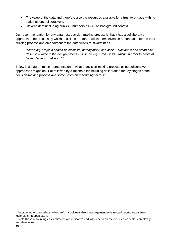- The value of the data and therefore also the resources available for a trust to engage with its stakeholders deliberatively.
- Stakeholders (including public) numbers as well as background context

Our recommendation for any data trust decision-making process is that it has a collaborative approach. The process by which decisions are made will in themselves be a foundation for the trust building process and embodiment of the data trust's trustworthiness.

*"Smart city projects should be inclusive, participatory, and social. Residents of a smart city deserve a voice in the design process. A smart city listens to its citizens in order to arrive at better decision-making…"<sup>46</sup>* 

Below is a diagrammatic representation of what a decision-making process using deliberative approaches might look like followed by a rationale for including deliberation for key stages of the decision-making process and some notes on resourcing factors<sup>47</sup>.

<sup>46</sup> https://medium.com/databrokerdao/smart-cities-citizens-engagement-at-least-as-important-as-smarttechnology-4eabcf5ca04b

<sup>&</sup>lt;sup>47</sup> Note these resourcing cost estimates are indicative and will depend on factors such as scale, complexity and data value.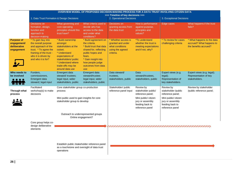|                                                                          | OVERVIEW MODEL OF PROPOSED DECISION-MAKING PROCESS FOR A DATA TRUST INVOLVING CITIZEN DATA                                                                       |                                                                                                                                                                                         |                                                                                                                                                                                                         |                                                                                              |                                                                                                                                        |                                                                                                                                        |                                                                                 |
|--------------------------------------------------------------------------|------------------------------------------------------------------------------------------------------------------------------------------------------------------|-----------------------------------------------------------------------------------------------------------------------------------------------------------------------------------------|---------------------------------------------------------------------------------------------------------------------------------------------------------------------------------------------------------|----------------------------------------------------------------------------------------------|----------------------------------------------------------------------------------------------------------------------------------------|----------------------------------------------------------------------------------------------------------------------------------------|---------------------------------------------------------------------------------|
|                                                                          |                                                                                                                                                                  |                                                                                                                                                                                         | >>> Timeline of key decisions >>>                                                                                                                                                                       |                                                                                              |                                                                                                                                        |                                                                                                                                        |                                                                                 |
|                                                                          | 1. Data Trust Formation & Design Decisions                                                                                                                       |                                                                                                                                                                                         | 2. Operational Decisions                                                                                                                                                                                |                                                                                              | 3. Exceptional Decisions                                                                                                               |                                                                                                                                        |                                                                                 |
|                                                                          | <b>Decisions</b> on<br>formation, design,<br>function and<br>approach to<br>decision-making                                                                      | What governing and<br>core operating<br>principles should this<br>trust have?                                                                                                           | What criteria used to<br>decide who has<br>access to the data<br>and under what<br>conditions?                                                                                                          | Decisions on<br>granting access from<br>the data trust                                       | How is performance<br>against purpose,<br>principles and<br>values?                                                                    | Edge cases                                                                                                                             | What happens if the trust<br>fails?                                             |
| <b>Purpose of</b><br>engagement/<br>deliberative<br>engagement           | * To gain buy into<br>the overall purpose<br>and approach of the<br>trust. * To agree the<br>framing of the trust -<br>who it is driven by<br>and who it is for? | * Build ownership<br>amongst<br>stakeholders at the<br>outset.<br>* Understand<br>expectations of<br>stakeholders/ public<br>* Understand where<br>trade-offs may be<br>around data use | * Build agreement on<br>the criteria.<br>* Build trust that data<br>shared for, reflecting<br>public hopes and<br>fears.<br>* Gain insight into<br>how people judge<br>outcomes from data<br><b>use</b> | * Whether access is<br>granted and under<br>what conditions<br>using the agreed<br>criteria. | <i>*To understand</i><br>whether the trust is<br>meeting expectations<br>and if not, why?                                              | * To review for cases<br>challenging criteria                                                                                          | * What happens to the data<br>accrued? What happens to<br>the benefits accrued? |
| Who needs to<br>be involved<br>$\bullet\bullet\bullet\bullet$<br>וניאוצה | Funders,<br>commissioners,<br><b>Emergent data</b><br>steward; legal input                                                                                       | Emergent data<br>steward/trustees;<br>legal input, wider<br>stakeholders, public                                                                                                        | Emergent data<br>steward/trustee:<br>legal input, wider<br>stakeholders, public                                                                                                                         | Data steward/<br>trustees.<br>stakeholders, public                                           | Data<br>steward/trustees.<br>stakeholders, public                                                                                      | Expert views (e.g.<br>legal);<br>Representation of<br>key stakeholders.                                                                | Expert views (e.g. legal);<br>Representation of key<br>stakeholders.            |
| Through what<br>process                                                  | Facilitated<br>workshop(s) to make<br>decisions                                                                                                                  | Core stakeholder group co-production<br>process<br>Mini public used to gain insights for core<br>stakeholder group to develop                                                           |                                                                                                                                                                                                         | Stakeholder/ public<br>reference panel input                                                 | Review by<br>stakeholder public/<br>reference panel;<br>Mini public/ citizen<br>jury or assembly<br>feeding back to<br>reference panel | Review by<br>stakeholder /public<br>reference panel;<br>Mini public/ citizen<br>jury or assembly<br>feeding back to<br>reference panel | Review by stakeholder<br>/public reference panel;                               |
|                                                                          | Core group helps co-<br>design deliberative<br>elements                                                                                                          | Outreach to underrepresented groups<br>Online engagement?<br>Establish public /stakeholder reference panel<br>as a touchstone and oversight of data trust<br>operations                 |                                                                                                                                                                                                         |                                                                                              |                                                                                                                                        |                                                                                                                                        |                                                                                 |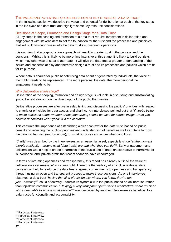#### <span id="page-27-0"></span>THE VALUE AND POTENTIAL FOR DELIBERATION AT KEY STAGES OF A DATA TRUST

In the following section we describe the value and potential for deliberation at each of the key steps in the life cycle of a data trust and highlight some key resource considerations

# <span id="page-27-1"></span>Decisions at Scope, Formation and Design Stage for a Data Trust

All key steps in the scoping and formation of a data trust require investment in deliberation and engagement with stakeholders to set the foundation for the trust and the processes and principles that will build trustworthiness into the data trust's subsequent operations.

It is our view that a co-production approach will result in greater trust in the process and the decisions. Whilst this is likely to be more time intensive at this stage, it is likely to build out risks which may otherwise arise at a later date. It will give the data trust a greater understanding of the issues and concerns at play and therefore design a trust and its processes and policies which are fit for its purpose.

Where data is shared for public benefit using data about or generated by individuals, the voice of the public needs to be represented. The more personal the data, the more personal the engagement needs to be.

#### *Why deliberation at this stage?*

Deliberation at the scoping, formation and design stage is valuable in discussing and substantiating 'public benefit' drawing on the direct input of the public themselves.

Deliberative processes are effective in establishing and discussing the publics' priorities with respect to criteria or principles for data access and sharing. An interviewee pointed out that *"if you're trying to make decisions about whether or not [data trusts] should be used for certain things…then you need to understand what 'good' is in the context.*<sup>48</sup>"

This captures the importance of establishing a clear context for the data trust, based on public benefit and reflecting the publics' priorities and understanding of benefit as well as criteria for how the data will be used (and by whom), for what purposes and under what conditions.

"Clarity" was described by the interviewees as an essential asset, especially since "*at the moment there's ambiguity…around what [data trusts] are and what they can do*" 49 . Early engagement and deliberation would help to create a narrative of the trust's use of data; an alternative to narratives of 'surveillance' and 'private profit' that recent scandals have encouraged.

In terms of informing openness and transparency, this report has already outlined the value of deliberation as a 'message' in its own right. Therefore the visibility of an inclusive deliberative process can help to reinforce the data trust's agreed commitments to openness and transparency, through using an open and transparent process to make these decisions. As one interviewee observed, a data trust "*having that kind of relationship where, you know, they're not just…dictating<sup>50</sup>*" could effectively underpin its dynamic with the public; based on deliberation rather than top-down communication. "*Hav[ing] a very transparent permissions architecture where it's clear who's been able to access what service<sup>51</sup>*" was described by another interviewee as beneficial to a data trust's functionality and accountability.

- <sup>48</sup> Participant interview
- <sup>49</sup> Participant interview
- <sup>50</sup> Participant interview

<sup>51</sup> Participant interview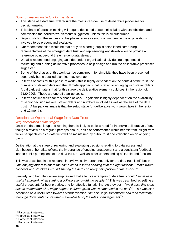#### *Notes on resourcing factors for this stage*

- This stage of a data trust will require the most intensive use of deliberative processes for decision-making.
- This phase of decision-making will require dedicated personnel to liaise with stakeholders and commission the deliberative elements suggested, unless this is all outsourced.
- Beyond staffing the success of this phase requires senior commitment in the organisations involved to be present and available.
- Our recommendation would be that early on a core group is established comprising representatives of the emergent data trust and representing key stakeholders to provide a reference point beyond the emergent data steward.
- We also recommend engaging an independent organisation/individual(s) experienced in facilitating and running deliberative processes to help design and run the deliberative processes suggested.
- Some of the phases of this work can be combined for simplicity they have been presented separately but in detailed planning may overlap.
- In terms of costs for this phase of work this is highly dependent on the context of the trust, the numbers of stakeholders and the ultimate approach that is taken to engaging with stakeholders. A ballpark estimate is that for this stage the deliberative element could cost in the region of: £120-220k. These are one off start-up costs.
- In terms of timescales for this phase of work again this is highly dependent on the availability of senior decision makers, stakeholders and numbers involved as well as the size of the data trust. A ballpark estimate is that the setup stage for deliberative work would take in the region of 6-12 months.

### <span id="page-28-0"></span>Decisions at Operational Stage for a Data Trust

#### *Why deliberation at this stage?*

Once the data trust is up and running there is likely to be less need for intensive deliberative effort, though a review on a regular, perhaps annual, basis of performance would benefit from insight from wider perspectives as a data trust will be maintained by public trust and validation on an ongoing basis.

Deliberation at the stage of reviewing and evaluating decisions relating to data access and distribution of benefits, reflects the importance of ongoing engagement and a consistent feedback loop to public perceptions of the data trust, as well as wider understanding of its role and functions.

This was described in the research interviews as important not only for the data trust itself, but in "*influenc[ing] others to share the same ethos in terms of doing it for the right reasons…that's where concepts and structures around sharing the data can really help provide a framework*. 52 "

Similarly, another interviewee emphasised that effective examples of data trusts could "*serve as a*  useful framework when starting a collaboration [with] the people<sup>53</sup>." This was described as setting a useful precedent; for best practice, and for effective functioning. As they put it, "*we'd quite like to be able to understand what might happen in future given what's happened in the past<sup>54</sup>*". This was also described as a useful step towards standardisation; "*be able to go somewhere and read incredibly thorough documentation of what is available [and] the rules of engagement<sup>55</sup>*".

<sup>52</sup> Participant interview

<sup>53</sup> Participant interview

<sup>54</sup> Participant interview

<sup>55</sup> Participant interview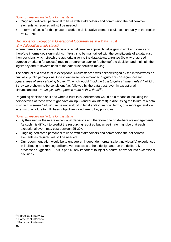#### *Notes on resourcing factors for this stage*

- Ongoing dedicated personnel to liaise with stakeholders and commission the deliberative elements as required will still be needed.
- In terms of costs for this phase of work the deliberative element could cost annually in the region of: £20-70k

# <span id="page-29-0"></span>Decisions for Exceptional Operational Occurrences in a Data Trust *Why deliberation at this stage?*

Where there are exceptional decisions, a deliberative approach helps gain insight and views and therefore informs decision-making. If trust is to be maintained with the constituents of a data trust then decisions which stretch the authority given to the data steward/trustee (by way of agreed purpose or criteria for access) require a reference back to "authorise" the decision and maintain the legitimacy and trustworthiness of the data trust decision-making.

The conduct of a data trust in exceptional circumstances was acknowledged by the interviewees as crucial to public perceptions. One interviewee recommended "*significant consequences for [guarantees of service] being broken<sup>56</sup>*", which would "*hold the trust to quite stringent rules*<sup>57</sup>" which, if they were shown to be consistent (i.e. followed by the data trust, even in exceptional circumstances), "*would give other people more faith in them*<sup>58</sup>".

Regarding decisions on if and when a trust fails, deliberation would be a means of including the perspectives of those who might have an input (and/or an interest) in discussing the failure of a data trust. In this sense 'failure' can be understood in legal and/or financial terms, or – more generally – in terms of a failure to fulfil basic objectives or adhere to key principles.

#### *Notes on resourcing factors for this stage*

- By their nature these are exceptional decisions and therefore one off deliberative engagements. As such it is difficult to predict the resourcing required but an estimate might be that each exceptional event may cost between £5-20k.
- Ongoing dedicated personnel to liaise with stakeholders and commission the deliberative elements as required will still be needed.
- Our recommendation would be to engage an independent organisation/individual(s) experienced in facilitating and running deliberative processes to help design and run the deliberative processes suggested. This is particularly important to inject a neutral convenor into exceptional decisions.

<sup>56</sup> Participant interview

<sup>57</sup> Participant interview

<sup>58</sup> Participant interview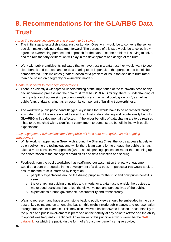# <span id="page-30-0"></span>**8. Recommendations for the GLA/RBG Data Trust**

#### *Agree the overarching purpose and problem to be solved*

- The initial step to establish a data trust for London/Greenwich would be to convene the senior decision makers driving a data trust forward. The purpose of this step would be to collectively agree the overarching purpose and approach for the data trust, the problem it is trying to solve, and the role that any deliberation will play in the development and design of the trust.
- Work with public participants indicated that to have trust in a data trust they would want to see clear benefit and purpose and for data sharing to be in pursuit of that purpose and benefit be demonstrated – this indicates greater traction for a problem or issue focused data trust rather than one based on geography or ownership models.

#### *A data trust needs to meet high expectations*

- There is evidently a widespread understanding of the importance of the trustworthiness of any decision-making process and the data trust from RBG/ GLA. Similarly, there is understanding of the importance of addressing pertinent questions such as 'what could go wrong', as well as public fears of data sharing, as an essential component of building trustworthiness.
- The work with public participants flagged key issues that would have to be addressed through any data trust. If these are not addressed then trust in data sharing and reputationally back to GLA/RBG will be detrimentally affected. If the wider benefits of data sharing are to be realised it has to be matched with a significant commitment to demonstrate benefit in line with public expectations.

### *Early engagement with stakeholders/ the public will be a core prerequisite as will ongoing engagement*

- Whilst work is happening in Greenwich around the Sharing Cities, the focus appears largely to be on delivering the technology and whilst there is an aspiration to engage the public this has taken a more consultative approach (where should parking spaces be) rather than opening up the conversation to the concept of smart cities and data collection and sharing.
- Feedback from the public workshop has reaffirmed our assumption that early engagement would be a core prerequisite in the development of a data trust. In particular this would seek to ensure that the trust is informed by insight on:
	- $\circ$  people's expectations around the driving purpose for the trust and how public benefit is seen.
	- o the overarching guiding principles and criteria for a data trust to enable the trustees to make good decisions that reflect the views, values and perspectives of the public.
	- o expectations around governance, accountability and transparency.
- Ways to represent and have a touchstone back to public views should be embedded in the data trust at key points and on an ongoing basis – this might include public panels and representation through trustees for example. This may also involve a backdoor/veto function - accountability to the public and public involvement is premised on their ability at any point to *refuse* and the ability to opt out was frequently mentioned. An example of this principle at work would be the **SAIL** [databank,](https://saildatabank.com/about-us/public-engagement/) for which the public (in the form of a 'consumer panel') can give advice,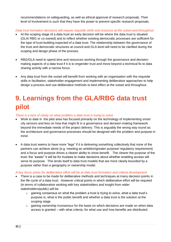recommendations on safeguarding, as well as ethical approval of research proposals. Their level of involvement is such that they have the power to prevent specific research proposals.

*Data trust formation decisions will require requisite skills and resource at the outset and throughout*

- At the scoping stage of a data trust an early decision will be where the data trust is situated (GLA/ RBG or co-owned) and to reflect whether existing democratic processes are sufficient for the type of trust-building expected of a data trust. The relationship between the governance of the trust and democratic structures at council and GLA level will need to be clarified during the scoping and design phase of the process.
- RBG/GLA need to spend time and resources working through the governance and decisionmaking aspects of a data trust if it is to engender trust and move beyond a technical fix to data sharing activity with a narrow focus.
- Any data trust from the outset will benefit from working with an organisation with the requisite skills in facilitation, stakeholder engagement and implementing deliberative approaches to help design a process and use deliberative methods to best effect at the outset and throughout.

# <span id="page-31-0"></span>**9. Learnings from the GLA/RBG data trust pilot**

*There is a lack of clarity on what problem a data trust is trying to solve*

- Work to date in the pilot area has focused primarily on the technology of implementing smart city sensors and less on how that might fit in a governance and decision-making framework beyond the immediate needs of the project delivery. This is arguably the wrong way round as the architecture and governance processes should be designed with the problem and purpose in mind.
- A data trust seems to have more "legs" if it is delivering something collectively that none of the partners can achieve alone (e.g. meeting an ambition/greater purpose/ regulatory requirement) and a focus and purpose drives a clearer ability to show benefit. The clearer the purpose of the trust, the "easier" it will be for trustees to make decisions about whether enabling access will serve its purpose. This lends itself to data trust models that are more clearly bounded by a purpose rather than a geography or ownership model.

*A key focus areas for deliberative effort will be at data trust formation and criteria development* 

- There is a case to be made for deliberative methods and techniques at many decision points in the life cycle of a data trust. However critical points in which deliberative effort will be required (in terms of collaborative working with key stakeholders and insight from wider stakeholders/public) will be:
	- o gaining consensus on what the problem a trust is trying to solve, what a data trust's purpose is, what is the public benefit and whether a data trust is the solution at the scoping stage
	- $\circ$  gaining ownership /consensus for the basis on which decisions are made on when data access is granted – with what criteria, for what use and how benefits are distributed.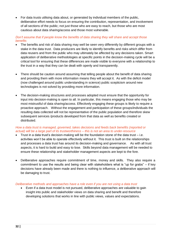• For data trusts utilising data about, or generated by individual members of the public, deliberative effort needs to focus on ensuring the contribution, representation, and involvement of all sections of the public; not just those who are easy to reach, but those who are most cautious about data sharing/access and those most vulnerable.

#### *Don't assume that if people know the benefits of data sharing they will share and accept those benefits*

- The benefits and risk of data sharing may well be seen very differently by different groups with a stake in the data trust. Data producers are likely to identify benefits and risks which differ from data reusers and from the public who may ultimately be affected by any decisions taken. Smart application of deliberative methodologies at specific points in the decision-making cycle will be a critical tool for ensuring that these differences are made visible to everyone with a relationship to the trust in a way that they can be dealt with openly and transparently.
- There should be caution around assuming that telling people about the benefit of data sharing and providing them with more information means they will accept it. As with the deficit model (now challenged around public understanding in science) public scepticism around new technologies is not solved by providing more information.
- The decision-making structures and processes adopted must ensure that the opportunity for input into decision-making is open to all. In particular, this means engaging those who may be most mistrustful of data sharing/access. Effectively engaging these groups is likely to require a proactive approach. Without the engagement and participation of these groups/individuals the resulting data collected will not be representative of the public population and therefore skew subsequent services /products developed from that data as well as benefits created or distributed.

#### *How a data trust is managed, governed, takes decisions and feeds back benefits (reported or actual) will be a large part of its trustworthiness – this is not an area to under-resource*

- Trust in a data trust's decision-making will be the foundation stone of the data trust  $-$  i.e. activities won't be able to operate effectively without it. This trust is built on the relationships and processes a data trust has around its decision-making and governance. As with all trust aspects, it is hard to build and easy to lose. Skills beyond data management will be needed to ensure these relationship and stakeholder management aspects are kept to the fore.
- Deliberative approaches require commitment of time, money and skills. They also require a commitment to use the results and being clear with stakeholders what is "up for grabs" – if key decisions have already been made and there is nothing to influence, a deliberative approach will be damaging to trust.

### *Deliberative methods and approaches have a role even if you are not using a data trust*

• Even if a data trust model is not pursued, deliberative approaches are valuable to gain insight into public and stakeholder views on data sharing and benefit and therefore developing solutions that works in line with public views, values and expectations.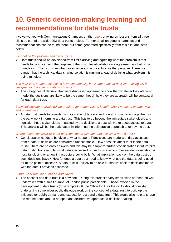# <span id="page-33-0"></span>**10. Generic decision-making learning and recommendations for data trusts**

Involve worked with Communications Chambers on the [report](http://theodi.org/article/data-trusts-decision-making-report/) drawing on lessons from all three pilots as part of the wider ODI data trusts project. Further detail on generic learnings and recommendations can be found there, but some generated specifically from this pilot are listed below.

#### *First define the problem and the purpose*

• Data trusts should be developed from first clarifying and agreeing what the problem is that needs to be solved and the purpose of the trust. Initial collaborative agreement on that is the foundation. Then consider what governance and architecture fits that purpose. There is a danger that the technical data sharing solution is running ahead of defining what problem it is trying to solve.

#### *The decisions a data trust makes have commonality but its approach to decision-making will be designed for the specific data trust context*

• The categories of decision that were discussed appeared to show that whatever the data trust model the decisions are likely to be the same, though how they are approach will be contextual for each data trust.

#### *Early stakeholder analysis will be required for a data trust to identify who it needs to engage with and in what way*

• A data trust needs to consider who its stakeholders are and how it is going to engage them in the early work in forming a data trust. This has to go beyond the immediate stakeholders and consider those stakeholders impacted by the decisions a trust will make about access to data. This analysis will be the early factor in informing the deliberative approach taken by the trust.

#### *Where does responsibility lie for decisions made with the data accessed from a trust?*

• Consideration needs to be given to what happens if decisions are made with data accessed from a data trust which are considered unacceptable. How does this affect trust in the data trust? There are no easy answers and this may be a topic for further consideration in future pilot data trusts. For example, what if data accessed is used to make controversial decisions about a hospital closing or a new infrastructure being built. What implication back on the data trust do such decisions have? How far does a data trust need to know what use the data is being used for at the point of access? A data trust is unlikely to be able to absolve itself of decisions made with the data it provides access to.

#### *Future work with the public on data trusts*

The concept of a data trust is a new one. During this project a very small piece of research was undertaken with a small number of London public participants. Those involved in the development of data trusts (for example ODI, the Office for AI or the GLA) should consider undertaking some wider public dialogue work on the concept of a data trust, to build up the evidence for public demand and expectations around a data trust. This would also help to shape the requirements around an open and deliberative approach to decision-making.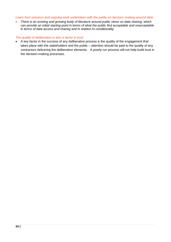#### *Learn from previous and ongoing work undertaken with the public on decision-making around data*

• *There is an existing and growing body of literature around public views on data sharing, which can provide an initial starting point in terms of what the public find acceptable and unacceptable in terms of data access and sharing and in relation to conditionality*

### *The quality of deliberation is also a factor in trust*

*.* 

• A key factor in the success of any deliberative process is the quality of the engagement that takes place with the stakeholders and the public – attention should be paid to the quality of any contractors delivering the deliberative elements. A poorly run process will not help build trust in the decision-making processes.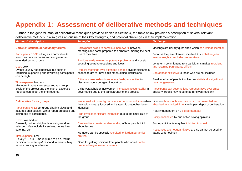# **Appendix 1: Assessment of deliberative methods and techniques**

Further to the general 'map' of deliberative techniques provided earlier in Section 4, the table below provides a description of several relevant deliberative methods. It also gives an outline of their key strengths, and potential challenges in their implementation.

<span id="page-35-0"></span>

| <b>Method &amp; description</b>                                                                                                                                                                                                                                                                                 | <b>Strengths</b>                                                                                                                                                                                                                                                                                         | <b>Challenges</b>                                                                                                                                                                                                                                                                                                               |
|-----------------------------------------------------------------------------------------------------------------------------------------------------------------------------------------------------------------------------------------------------------------------------------------------------------------|----------------------------------------------------------------------------------------------------------------------------------------------------------------------------------------------------------------------------------------------------------------------------------------------------------|---------------------------------------------------------------------------------------------------------------------------------------------------------------------------------------------------------------------------------------------------------------------------------------------------------------------------------|
| <b>Citizens' /stakeholder advisory forums</b><br>Participants: 10-30 sitting as a committee to<br>inform and advise decision-making over an<br>extended period of time.<br>Cost: Low<br>Events usually not expensive, but costs of                                                                              | Participants asked to complete 'homework' between<br>meetings and come prepared to deliberate, making the best<br>use of their time<br>Provides early warning of potential problems and a useful<br>sounding board to test plans and ideas<br>Regular meetings over extended periods give participants a | Meetings are usually quite short which can limit deliberation<br>Because they are often not involved it is a challenge to<br>ensure insights reach decision-makers<br>Long-term commitment from participants makes recruiting<br>and retaining participants difficult                                                           |
| recruiting, supporting and rewarding participants<br>can be high.<br>Time expense: Medium<br>Minimum 3 months to set-up and run group.<br>Scale of the project and the level of expertise<br>required can affect the time required.                                                                             | chance to get to know each other, aiding discussions<br>Citizens/stakeholders introduce a fresh perspective to<br>discussions, encouraging innovation<br>Citizen/stakeholder involvement increases accountability in<br>governance due to the transparency of the process                                | Can appear exclusive to those who are not included<br>Small number of people involved so statistically significant<br>data not generated<br>Participants can become less representative over time;<br>advisory groups may need to be renewed regularly                                                                          |
| <b>Deliberative focus groups</b><br>Participants: 6-12 per group sharing views and<br>attitudes on a subject, with a report produced and<br>distributed to participants.<br>Cost: Low-medium<br>Generally not very high unless using random<br>selection. May include incentives, venue hire,<br>catering, etc. | Works well with small groups in short amounts of time (when<br>the topic is clearly focused and a specific output has been<br>identified)<br>High level of participant interaction due to the small size of<br>the group<br>Can lead to a greater understanding of how people think<br>about issues      | Limits on how much information can be presented and<br>absorbed in a limited time; can impact depth of deliberation<br>Heavily dependent on a skilled facilitator<br>Easily dominated by one or two strong opinions<br>Some participants may feel inhibited to speak<br>Responses are not quantitative and so cannot be used to |
| Time expense: Low<br>Usually 1-2 hrs. Time required to plan, recruit<br>participants, write up & respond to results. May<br>require reading in advance.                                                                                                                                                         | Members can be specially recruited to fit (demographic)<br>profiles<br>Good for getting opinions from people who would not be<br>prepared to give written answers                                                                                                                                        | gauge wider opinion                                                                                                                                                                                                                                                                                                             |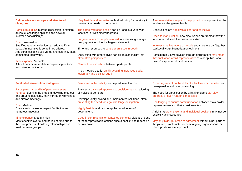| <b>Deliberative workshops and structured</b>                                                                                                                                                                                                                                                                                                                                                                                   | Very flexible and versatile method, allowing for creativity in                                                                                                                                                                                                                                                                                                                                                                                                                                     | A representative sample of the population is important for the                                                                                                                                                                                                                                                                                                                                                                         |
|--------------------------------------------------------------------------------------------------------------------------------------------------------------------------------------------------------------------------------------------------------------------------------------------------------------------------------------------------------------------------------------------------------------------------------|----------------------------------------------------------------------------------------------------------------------------------------------------------------------------------------------------------------------------------------------------------------------------------------------------------------------------------------------------------------------------------------------------------------------------------------------------------------------------------------------------|----------------------------------------------------------------------------------------------------------------------------------------------------------------------------------------------------------------------------------------------------------------------------------------------------------------------------------------------------------------------------------------------------------------------------------------|
| dialogues                                                                                                                                                                                                                                                                                                                                                                                                                      | meeting the needs of the project                                                                                                                                                                                                                                                                                                                                                                                                                                                                   | evidence to be generalisable                                                                                                                                                                                                                                                                                                                                                                                                           |
| Participants: 8-12 in group discussion to explore<br>an issue, challenge opinions and develop<br>informed conclusion(s).<br>Cost: Low-medium<br>Stratified random selection can add significant<br>costs. An incentive is sometimes offered.<br>Additional costs include venue and catering. Must<br>sometimes reconvene.<br>Time expense: Variable<br>A few hours or several days depending on topic<br>and intended outcome. | The same workshop design can be used in a variety of<br>locations, or with different groups<br>Large numbers of people involved in addressing a single<br>policy question without a large-scale event<br>Time and resources to consider an issue in-depth<br>Discussing with others gives participants an insight into<br>alternative perspectives<br>Can build relationships between participants<br>It is a method that is rapidly acquiring increased social<br>legitimacy and political buy-in | Conclusions are not always clear and collective<br>Open to manipulation: how discussions are framed; how the<br>topic is introduced; the questions asked<br>Involves small numbers of people and therefore can't gather<br>statistically significant data on opinions<br>Participants' views develop through deliberation; may mean<br>that final views aren't representative of wider public, who<br>haven't experienced deliberation |
| <b>Facilitated stakeholder dialogues</b>                                                                                                                                                                                                                                                                                                                                                                                       | Deals well with conflict, can help address low trust                                                                                                                                                                                                                                                                                                                                                                                                                                               | Extremely reliant on the skills of a facilitator or mediator; can                                                                                                                                                                                                                                                                                                                                                                      |
| Participants: a handful of people to several                                                                                                                                                                                                                                                                                                                                                                                   | Ensures a balanced approach to decision-making, allowing                                                                                                                                                                                                                                                                                                                                                                                                                                           | be expensive and time consuming                                                                                                                                                                                                                                                                                                                                                                                                        |
| hundred, defining the problem, devising methods                                                                                                                                                                                                                                                                                                                                                                                | all voices to be heard                                                                                                                                                                                                                                                                                                                                                                                                                                                                             | The need for participation by all stakeholders can slow                                                                                                                                                                                                                                                                                                                                                                                |
| and creating solutions, mainly through workshops                                                                                                                                                                                                                                                                                                                                                                               | Develops jointly-owned and implemented solutions, often                                                                                                                                                                                                                                                                                                                                                                                                                                            | progress or even render it impossible                                                                                                                                                                                                                                                                                                                                                                                                  |
| and similar meetings.                                                                                                                                                                                                                                                                                                                                                                                                          | preventing the need for legal challenge or litigation                                                                                                                                                                                                                                                                                                                                                                                                                                              | Challenging to ensure communication between stakeholder                                                                                                                                                                                                                                                                                                                                                                                |
| Cost: Medium<br>Costs can increase for expert facilitation and<br>numerous meetings.<br>Time expense: Medium-high<br>Most effective over a long period of time due to<br>the slow process of building relationships and<br>trust between groups.                                                                                                                                                                               | Highly flexible and can be applied at all levels of<br>government.<br>Good in controversial or contested contexts; dialogue is one<br>of the few practicable options once a conflict has reached a<br>certain point                                                                                                                                                                                                                                                                                | representatives and their constituencies<br>A risk that organisational and individual positions may not be<br>explicitly acknowledged<br>May only highlight areas of agreement without other parts of<br>the picture; problematic for campaigning organisations for<br>which positions are important                                                                                                                                   |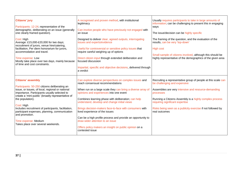| <b>Citizens' jury</b><br>Participants: 12-24; representative of the<br>demographic, deliberating on an issue (generally<br>one clearly framed question).<br>Cost: High<br>Average: £15,000-£20,000 for two days;<br>recruitment of jurors, venue hire/catering,<br>facilitation, Per diem honorarium for jurors,<br>accommodation and travel.<br>Time expense: Low<br>Mostly take place over two days, mainly because<br>of time and cost constraints.        | A recognised and proven method, with institutional<br>legitimacy<br>Can involve people who have previously not engaged with<br>an issue<br>Designed to deliver clear, agreed outputs, interrogating<br>issues and experts/evidence<br>Useful for controversial or sensitive policy issues that<br>require careful weighing up of options<br>Direct citizen input through extended deliberation and<br>focused discussion<br>Impartial, specific and objective decisions, delivered through<br>a verdict                                                                                  | Usually requires participants to take in large amounts of<br>information; can be challenging to present this in engaging<br>ways<br>The issue/decision can be highly specific<br>The framing of the question, and the evaluation of the<br>results, can be very 'top-down'<br>High cost<br>Small sample of citizens involved, although this should be<br>highly representative of the demographics of the given area |
|---------------------------------------------------------------------------------------------------------------------------------------------------------------------------------------------------------------------------------------------------------------------------------------------------------------------------------------------------------------------------------------------------------------------------------------------------------------|------------------------------------------------------------------------------------------------------------------------------------------------------------------------------------------------------------------------------------------------------------------------------------------------------------------------------------------------------------------------------------------------------------------------------------------------------------------------------------------------------------------------------------------------------------------------------------------|----------------------------------------------------------------------------------------------------------------------------------------------------------------------------------------------------------------------------------------------------------------------------------------------------------------------------------------------------------------------------------------------------------------------|
| <b>Citizens' assembly</b><br>Participants: 50-250 citizens deliberating an<br>issue, or issues, of local, regional or national<br>importance. Participants usually selected to<br>create a 'mini-public' (broadly representative of<br>the population).<br>Cost: High<br>Includes recruitment of participants, facilitation,<br>participant expenses, planning, communication<br>and promotion.<br>Time expense: Medium<br>Takes place over several weekends. | Can explore diverse perspectives on complex issues and<br>reach consensual recommendations<br>When run on a large scale they can bring a diverse array of<br>opinions and experiences into one event<br>Combines learning phase with deliberation; can help<br>understand, develop and change initial views<br>Brings decision-makers face-to-face with consumers with<br>lived experience of the issues<br>Can be a high profile process and provide an opportunity to<br>draw wider attention to an issue<br>Offers policy makers an insight on public opinion on a<br>contested issue | Recruiting a representative group of people at this scale can<br>be challenging and expensive<br>Assemblies are very intensive and resource-demanding<br>processes<br>Running a Citizens Assembly is a highly complex process<br>requiring significant expertise<br>Risks being seen as a publicity exercise if not followed by<br>real outcomes                                                                     |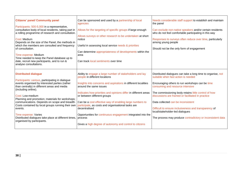| <b>Citizens' panel/ Community panel</b><br>Participants: 500-5,000 in a representative,<br>consultative body of local residents, taking part in<br>a rolling programme of research and consultation.<br>Cost: Medium<br>Depends on the size of the Panel, the methods in<br>which the members are consulted and frequency<br>of consultation.<br>Time expense: Medium<br>Time needed to keep the Panel database up to<br>date, recruit new participants, and to run &<br>analyse consultations.                 | Can be sponsored and used by a partnership of local<br>agencies<br>Allows for the targeting of specific groups if large enough<br>Allows surveys or other research to be undertaken at short<br>notice<br>Useful in assessing local service needs & priorities<br>Can determine appropriateness of developments within the<br>area<br>Can track local sentiments over time                                                                                                                                                                                      | Needs considerable staff support to establish and maintain<br>the panel<br>Can exclude non-native speakers and/or certain residents<br>who do not feel comfortable participating in this way<br>Responses to surveys often reduce over time, particularly<br>among young people<br>Should not be the only form of engagement                                                                                                                                                                           |
|-----------------------------------------------------------------------------------------------------------------------------------------------------------------------------------------------------------------------------------------------------------------------------------------------------------------------------------------------------------------------------------------------------------------------------------------------------------------------------------------------------------------|-----------------------------------------------------------------------------------------------------------------------------------------------------------------------------------------------------------------------------------------------------------------------------------------------------------------------------------------------------------------------------------------------------------------------------------------------------------------------------------------------------------------------------------------------------------------|--------------------------------------------------------------------------------------------------------------------------------------------------------------------------------------------------------------------------------------------------------------------------------------------------------------------------------------------------------------------------------------------------------------------------------------------------------------------------------------------------------|
| <b>Distributed dialogue</b><br>Participants: various, participating in dialogue<br>events organised by interested parties (rather<br>than centrally) in different areas and media<br>(including online).<br>Cost: Low-medium<br>Planning and promotion; materials for workshops;<br>communications. Depends on scope and breadth.<br>Costs contained by local groups running their own<br>events.<br>Time expense: Varies<br>Distributed dialogues take place at different times,<br>organised by participants. | Ability to engage a large number of stakeholders and lay<br>people in different locations<br>Insights into concerns and aspirations in different localities<br>around the same issues<br>Indicates how priorities and opinions differ in different areas<br>or between different groups<br>Can be a cost effective way of enabling large numbers to<br>participate, as costs and organisational tasks are<br>decentralised<br>Opportunities for continuous engagement integrated into the<br>process<br>Gives a high degree of autonomy and control to citizens | Distributed dialogues can take a long time to organise, not<br>suitable when fast action is needed<br>Encouraging others to run workshops can be time<br>consuming and resource intensive<br>The commissioning body retains little control of how<br>discussions are framed or facilitated in practice<br>Data collected can be inconsistent<br>Difficult to ensure inclusiveness and transparency of<br>local/stakeholder-led dialogues<br>The process may produce contradictory or inconsistent data |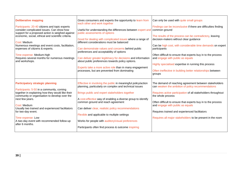| <b>Deliberative mapping</b><br>Participants: 20-40 citizens and topic experts<br>consider complicated issues. Can show how<br>support for a proposed action is weighed against<br>economic, social, ethical and scientific criteria.<br>Cost: Medium<br>Numerous meetings and event costs, facilitation,<br>expenses of citizens & experts.<br>Time expense: Medium-high<br>Requires several months for numerous meetings<br>and workshops. | Gives consumers and experts the opportunity to learn from<br>each other and work together<br>Useful for understanding the differences between expert and   common ground<br>public assessments of options<br>Good for dealing with complicated issues where a range of<br>different considerations must be balanced<br>Can demonstrate values and concerns behind public<br>preferences and acceptability of options<br>Can deliver greater legitimacy for decisions and information<br>about public preferences towards policy options.<br>Experts take a more active role than in many engagement<br>processes, but are prevented from dominating | Can only be used with quite small groups<br>Findings can be inconclusive if there are difficulties finding<br>The results of the process can be contradictory, leaving<br>decision-makers without clear guidance<br>Can be high cost, with considerable time demands on expert<br>participants<br>Often difficult to ensure that experts buy in to the process<br>and engage with public as equals<br>Highly specialised expertise in running this process<br>Often ineffective in building better relationships between<br>groups |
|---------------------------------------------------------------------------------------------------------------------------------------------------------------------------------------------------------------------------------------------------------------------------------------------------------------------------------------------------------------------------------------------------------------------------------------------|-----------------------------------------------------------------------------------------------------------------------------------------------------------------------------------------------------------------------------------------------------------------------------------------------------------------------------------------------------------------------------------------------------------------------------------------------------------------------------------------------------------------------------------------------------------------------------------------------------------------------------------------------------|------------------------------------------------------------------------------------------------------------------------------------------------------------------------------------------------------------------------------------------------------------------------------------------------------------------------------------------------------------------------------------------------------------------------------------------------------------------------------------------------------------------------------------|
| <b>Participatory strategic planning</b><br>Participants: 5-50 in a community, coming<br>together in explaining how they would like their<br>community or organisation to develop over the<br>next few years.<br>Cost: Medium<br>Usually two trained and experienced facilitators<br>for two-day event.<br>Time expense: Low<br>A two-day event with recommended follow-up<br>after 6 months.                                                | Effective in involving the public in meaningful policy/action<br>planning, particularly on complex and technical issues<br>Brings public and expert stakeholders together<br>A cost-effective way of enabling a diverse group to identify<br>common ground and reach agreement<br>Can deliver clear, realistic policy recommendations<br>Flexible and applicable to multiple settings<br>Works for people with auditory/visual preferences<br>Participants often find process & outcome inspiring                                                                                                                                                   | The demand of reaching agreement between stakeholders<br>can weaken the ambition of policy recommendations<br>Requires active participation of all stakeholders throughout<br>the whole process<br>Often difficult to ensure that experts buy in to the process<br>and engage with public as equals<br>Requires trained and experienced facilitators<br>Requires all major stakeholders to be present in the room                                                                                                                  |